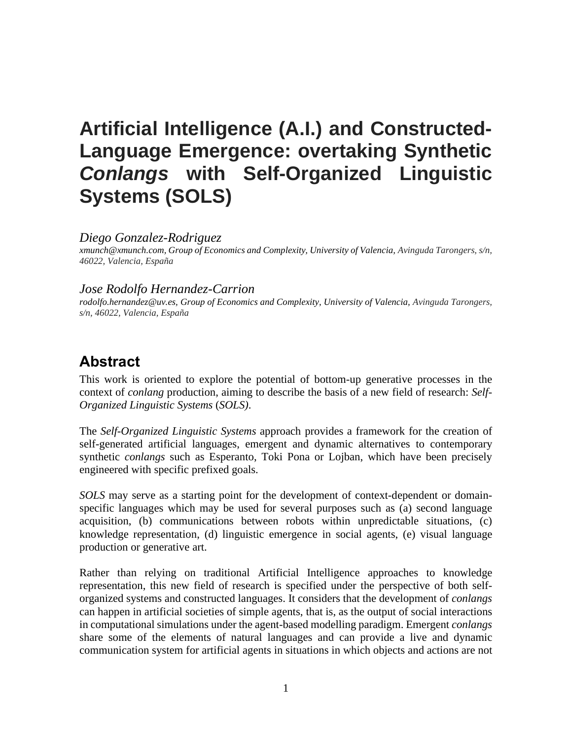# **Artificial Intelligence (A.I.) and Constructed-Language Emergence: overtaking Synthetic**  *Conlangs* **with Self-Organized Linguistic Systems (SOLS)**

#### *Diego Gonzalez-Rodriguez*

*xmunch@xmunch.com, Group of Economics and Complexity, University of Valencia, Avinguda Tarongers, s/n, 46022, Valencia, España*

#### *Jose Rodolfo Hernandez-Carrion*

*rodolfo.hernandez@uv.es, Group of Economics and Complexity, University of Valencia, Avinguda Tarongers, s/n, 46022, Valencia, España*

#### **Abstract**

This work is oriented to explore the potential of bottom-up generative processes in the context of *conlang* production, aiming to describe the basis of a new field of research: *Self-Organized Linguistic Systems* (*SOLS)*.

The *Self-Organized Linguistic Systems* approach provides a framework for the creation of self-generated artificial languages, emergent and dynamic alternatives to contemporary synthetic *conlangs* such as Esperanto, Toki Pona or Lojban, which have been precisely engineered with specific prefixed goals.

*SOLS* may serve as a starting point for the development of context-dependent or domainspecific languages which may be used for several purposes such as (a) second language acquisition, (b) communications between robots within unpredictable situations, (c) knowledge representation, (d) linguistic emergence in social agents, (e) visual language production or generative art.

Rather than relying on traditional Artificial Intelligence approaches to knowledge representation, this new field of research is specified under the perspective of both selforganized systems and constructed languages. It considers that the development of *conlangs* can happen in artificial societies of simple agents, that is, as the output of social interactions in computational simulations under the agent-based modelling paradigm. Emergent *conlangs* share some of the elements of natural languages and can provide a live and dynamic communication system for artificial agents in situations in which objects and actions are not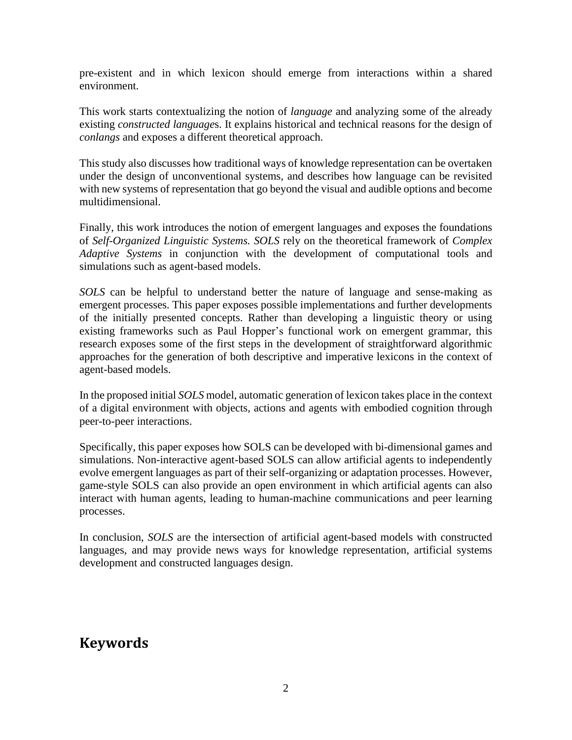pre-existent and in which lexicon should emerge from interactions within a shared environment.

This work starts contextualizing the notion of *language* and analyzing some of the already existing *constructed language*s. It explains historical and technical reasons for the design of *conlangs* and exposes a different theoretical approach.

This study also discusses how traditional ways of knowledge representation can be overtaken under the design of unconventional systems, and describes how language can be revisited with new systems of representation that go beyond the visual and audible options and become multidimensional.

Finally, this work introduces the notion of emergent languages and exposes the foundations of *Self-Organized Linguistic Systems. SOLS* rely on the theoretical framework of *Complex Adaptive Systems* in conjunction with the development of computational tools and simulations such as agent-based models.

*SOLS* can be helpful to understand better the nature of language and sense-making as emergent processes. This paper exposes possible implementations and further developments of the initially presented concepts. Rather than developing a linguistic theory or using existing frameworks such as Paul Hopper's functional work on emergent grammar, this research exposes some of the first steps in the development of straightforward algorithmic approaches for the generation of both descriptive and imperative lexicons in the context of agent-based models.

In the proposed initial *SOLS* model, automatic generation of lexicon takes place in the context of a digital environment with objects, actions and agents with embodied cognition through peer-to-peer interactions.

Specifically, this paper exposes how SOLS can be developed with bi-dimensional games and simulations. Non-interactive agent-based SOLS can allow artificial agents to independently evolve emergent languages as part of their self-organizing or adaptation processes. However, game-style SOLS can also provide an open environment in which artificial agents can also interact with human agents, leading to human-machine communications and peer learning processes.

In conclusion, *SOLS* are the intersection of artificial agent-based models with constructed languages, and may provide news ways for knowledge representation, artificial systems development and constructed languages design.

#### **Keywords**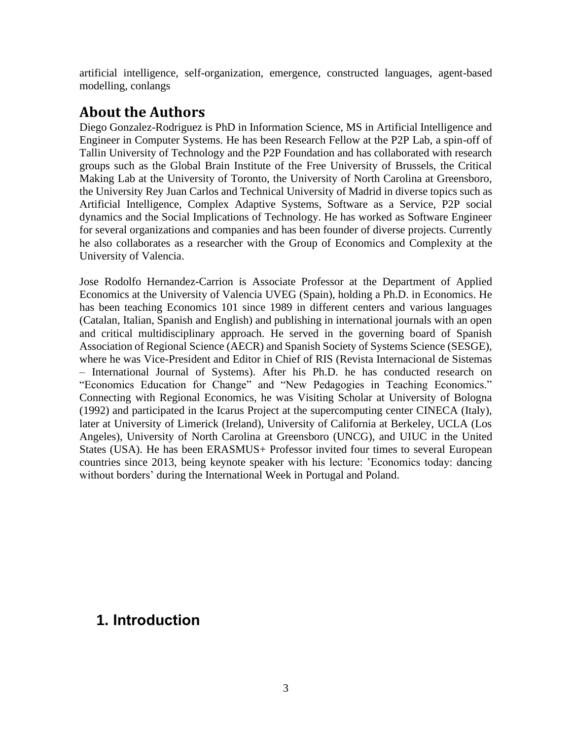artificial intelligence, self-organization, emergence, constructed languages, agent-based modelling, conlangs

#### **About the Authors**

Diego Gonzalez-Rodriguez is PhD in Information Science, MS in Artificial Intelligence and Engineer in Computer Systems. He has been Research Fellow at the P2P Lab, a spin-off of Tallin University of Technology and the P2P Foundation and has collaborated with research groups such as the Global Brain Institute of the Free University of Brussels, the Critical Making Lab at the University of Toronto, the University of North Carolina at Greensboro, the University Rey Juan Carlos and Technical University of Madrid in diverse topics such as Artificial Intelligence, Complex Adaptive Systems, Software as a Service, P2P social dynamics and the Social Implications of Technology. He has worked as Software Engineer for several organizations and companies and has been founder of diverse projects. Currently he also collaborates as a researcher with the Group of Economics and Complexity at the University of Valencia.

Jose Rodolfo Hernandez-Carrion is Associate Professor at the Department of Applied Economics at the University of Valencia UVEG (Spain), holding a Ph.D. in Economics. He has been teaching Economics 101 since 1989 in different centers and various languages (Catalan, Italian, Spanish and English) and publishing in international journals with an open and critical multidisciplinary approach. He served in the governing board of Spanish Association of Regional Science (AECR) and Spanish Society of Systems Science (SESGE), where he was Vice-President and Editor in Chief of RIS (Revista Internacional de Sistemas – International Journal of Systems). After his Ph.D. he has conducted research on "Economics Education for Change" and "New Pedagogies in Teaching Economics." Connecting with Regional Economics, he was Visiting Scholar at University of Bologna (1992) and participated in the Icarus Project at the supercomputing center CINECA (Italy), later at University of Limerick (Ireland), University of California at Berkeley, UCLA (Los Angeles), University of North Carolina at Greensboro (UNCG), and UIUC in the United States (USA). He has been ERASMUS+ Professor invited four times to several European countries since 2013, being keynote speaker with his lecture: 'Economics today: dancing without borders' during the International Week in Portugal and Poland.

#### **1. Introduction**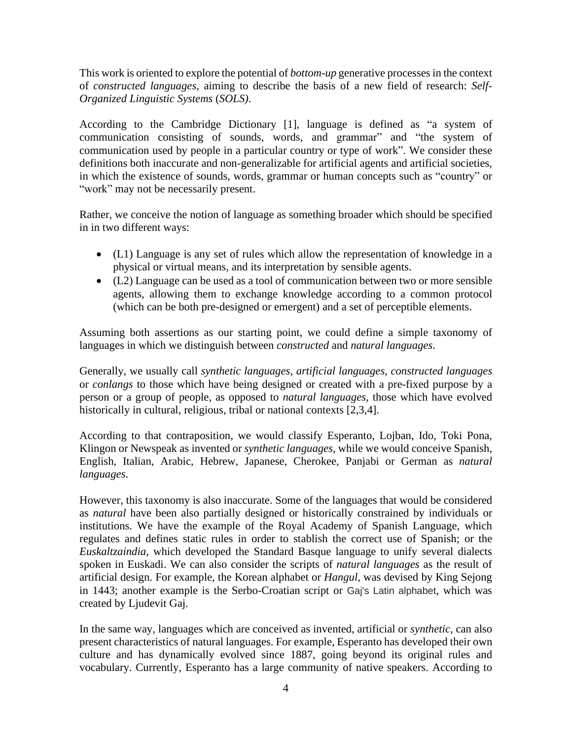This work is oriented to explore the potential of *bottom-up* generative processes in the context of *constructed languages*, aiming to describe the basis of a new field of research: *Self-Organized Linguistic Systems* (*SOLS)*.

According to the Cambridge Dictionary [1], language is defined as "a system of communication consisting of sounds, words, and grammar" and "the system of communication used by people in a particular country or type of work". We consider these definitions both inaccurate and non-generalizable for artificial agents and artificial societies, in which the existence of sounds, words, grammar or human concepts such as "country" or "work" may not be necessarily present.

Rather, we conceive the notion of language as something broader which should be specified in in two different ways:

- (L1) Language is any set of rules which allow the representation of knowledge in a physical or virtual means, and its interpretation by sensible agents.
- (L2) Language can be used as a tool of communication between two or more sensible agents, allowing them to exchange knowledge according to a common protocol (which can be both pre-designed or emergent) and a set of perceptible elements.

Assuming both assertions as our starting point, we could define a simple taxonomy of languages in which we distinguish between *constructed* and *natural languages*.

Generally, we usually call *synthetic languages*, *artificial languages, constructed languages* or *conlangs* to those which have being designed or created with a pre-fixed purpose by a person or a group of people, as opposed to *natural languages,* those which have evolved historically in cultural, religious, tribal or national contexts [2,3,4].

According to that contraposition, we would classify Esperanto, Lojban, Ido, Toki Pona, Klingon or Newspeak as invented or *synthetic languages*, while we would conceive Spanish, English, Italian, Arabic, Hebrew, Japanese, Cherokee, Panjabi or German as *natural languages*.

However, this taxonomy is also inaccurate. Some of the languages that would be considered as *natural* have been also partially designed or historically constrained by individuals or institutions. We have the example of the Royal Academy of Spanish Language, which regulates and defines static rules in order to stablish the correct use of Spanish; or the *Euskaltzaindia,* which developed the Standard Basque language to unify several dialects spoken in Euskadi. We can also consider the scripts of *natural languages* as the result of artificial design. For example, the Korean alphabet or *Hangul,* was devised by King Sejong in 1443; another example is the Serbo-Croatian script or Gaj's Latin alphabet, which was created by Ljudevit Gaj.

In the same way*,* languages which are conceived as invented, artificial or *synthetic,* can also present characteristics of natural languages. For example, Esperanto has developed their own culture and has dynamically evolved since 1887, going beyond its original rules and vocabulary. Currently, Esperanto has a large community of native speakers. According to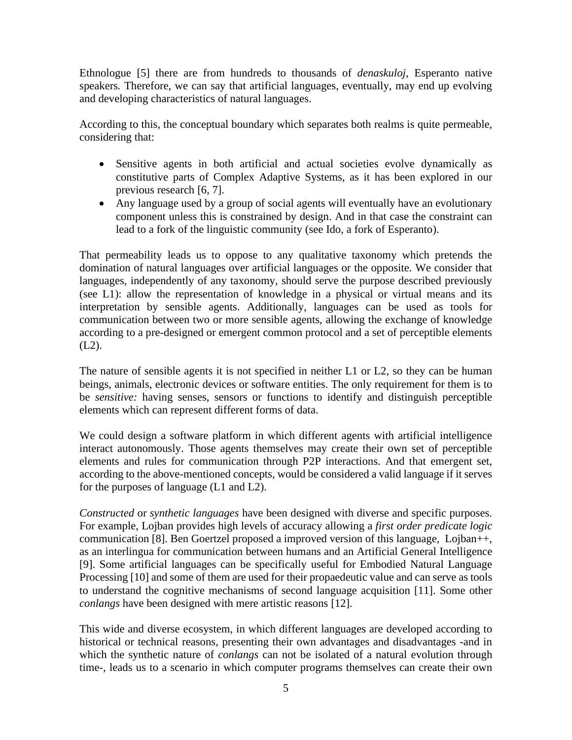Ethnologue [5] there are from hundreds to thousands of *denaskuloj*, Esperanto native speakers*.* Therefore, we can say that artificial languages, eventually, may end up evolving and developing characteristics of natural languages.

According to this, the conceptual boundary which separates both realms is quite permeable, considering that:

- Sensitive agents in both artificial and actual societies evolve dynamically as constitutive parts of Complex Adaptive Systems, as it has been explored in our previous research [6, 7].
- Any language used by a group of social agents will eventually have an evolutionary component unless this is constrained by design. And in that case the constraint can lead to a fork of the linguistic community (see Ido, a fork of Esperanto).

That permeability leads us to oppose to any qualitative taxonomy which pretends the domination of natural languages over artificial languages or the opposite. We consider that languages, independently of any taxonomy, should serve the purpose described previously (see L1): allow the representation of knowledge in a physical or virtual means and its interpretation by sensible agents. Additionally, languages can be used as tools for communication between two or more sensible agents, allowing the exchange of knowledge according to a pre-designed or emergent common protocol and a set of perceptible elements (L2).

The nature of sensible agents it is not specified in neither L1 or L2, so they can be human beings, animals, electronic devices or software entities. The only requirement for them is to be *sensitive:* having senses, sensors or functions to identify and distinguish perceptible elements which can represent different forms of data.

We could design a software platform in which different agents with artificial intelligence interact autonomously. Those agents themselves may create their own set of perceptible elements and rules for communication through P2P interactions. And that emergent set, according to the above-mentioned concepts, would be considered a valid language if it serves for the purposes of language (L1 and L2).

*Constructed* or *synthetic languages* have been designed with diverse and specific purposes. For example, Lojban provides high levels of accuracy allowing a *first order predicate logic* communication [8]. Ben Goertzel proposed a improved version of this language, Lojban++, as an interlingua for communication between humans and an Artificial General Intelligence [9]. Some artificial languages can be specifically useful for Embodied Natural Language Processing [10] and some of them are used for their propaedeutic value and can serve as tools to understand the cognitive mechanisms of second language acquisition [11]. Some other *conlangs* have been designed with mere artistic reasons [12].

This wide and diverse ecosystem, in which different languages are developed according to historical or technical reasons, presenting their own advantages and disadvantages -and in which the synthetic nature of *conlangs* can not be isolated of a natural evolution through time-, leads us to a scenario in which computer programs themselves can create their own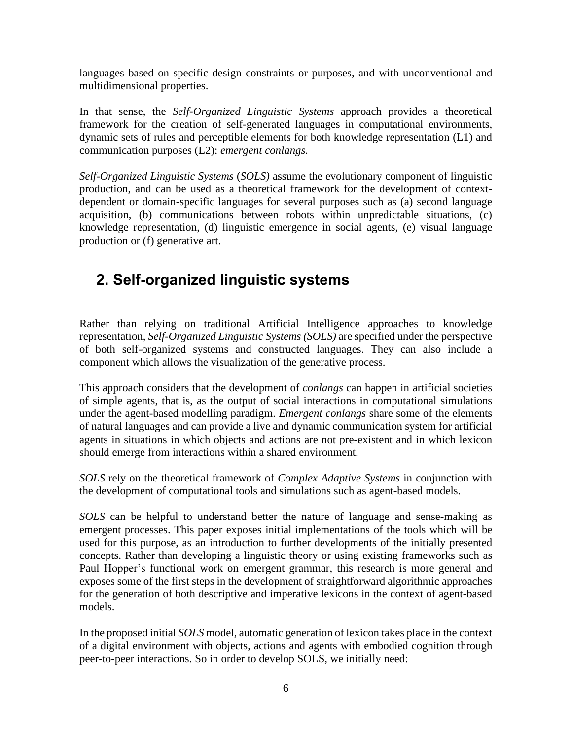languages based on specific design constraints or purposes, and with unconventional and multidimensional properties.

In that sense, the *Self-Organized Linguistic Systems* approach provides a theoretical framework for the creation of self-generated languages in computational environments, dynamic sets of rules and perceptible elements for both knowledge representation (L1) and communication purposes (L2): *emergent conlangs.*

*Self-Organized Linguistic Systems* (*SOLS)* assume the evolutionary component of linguistic production, and can be used as a theoretical framework for the development of contextdependent or domain-specific languages for several purposes such as (a) second language acquisition, (b) communications between robots within unpredictable situations, (c) knowledge representation, (d) linguistic emergence in social agents, (e) visual language production or (f) generative art.

### **2. Self-organized linguistic systems**

Rather than relying on traditional Artificial Intelligence approaches to knowledge representation, *Self-Organized Linguistic Systems (SOLS)* are specified under the perspective of both self-organized systems and constructed languages. They can also include a component which allows the visualization of the generative process.

This approach considers that the development of *conlangs* can happen in artificial societies of simple agents, that is, as the output of social interactions in computational simulations under the agent-based modelling paradigm. *Emergent conlangs* share some of the elements of natural languages and can provide a live and dynamic communication system for artificial agents in situations in which objects and actions are not pre-existent and in which lexicon should emerge from interactions within a shared environment.

*SOLS* rely on the theoretical framework of *Complex Adaptive Systems* in conjunction with the development of computational tools and simulations such as agent-based models.

*SOLS* can be helpful to understand better the nature of language and sense-making as emergent processes. This paper exposes initial implementations of the tools which will be used for this purpose, as an introduction to further developments of the initially presented concepts. Rather than developing a linguistic theory or using existing frameworks such as Paul Hopper's functional work on emergent grammar, this research is more general and exposes some of the first steps in the development of straightforward algorithmic approaches for the generation of both descriptive and imperative lexicons in the context of agent-based models.

In the proposed initial *SOLS* model, automatic generation of lexicon takes place in the context of a digital environment with objects, actions and agents with embodied cognition through peer-to-peer interactions. So in order to develop SOLS, we initially need: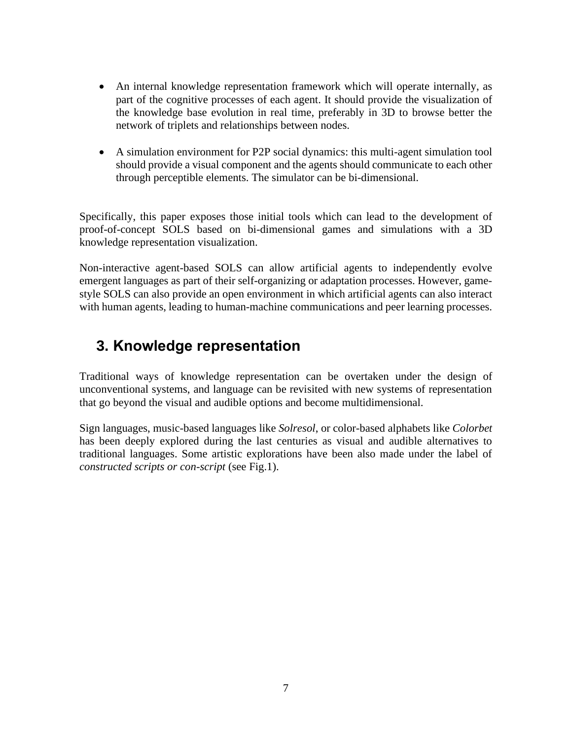- An internal knowledge representation framework which will operate internally, as part of the cognitive processes of each agent. It should provide the visualization of the knowledge base evolution in real time, preferably in 3D to browse better the network of triplets and relationships between nodes.
- A simulation environment for P2P social dynamics: this multi-agent simulation tool should provide a visual component and the agents should communicate to each other through perceptible elements. The simulator can be bi-dimensional.

Specifically, this paper exposes those initial tools which can lead to the development of proof-of-concept SOLS based on bi-dimensional games and simulations with a 3D knowledge representation visualization.

Non-interactive agent-based SOLS can allow artificial agents to independently evolve emergent languages as part of their self-organizing or adaptation processes. However, gamestyle SOLS can also provide an open environment in which artificial agents can also interact with human agents, leading to human-machine communications and peer learning processes.

### **3. Knowledge representation**

Traditional ways of knowledge representation can be overtaken under the design of unconventional systems, and language can be revisited with new systems of representation that go beyond the visual and audible options and become multidimensional.

Sign languages, music-based languages like *Solresol*, or color-based alphabets like *Colorbet* has been deeply explored during the last centuries as visual and audible alternatives to traditional languages. Some artistic explorations have been also made under the label of *constructed scripts or con-script* (see Fig.1).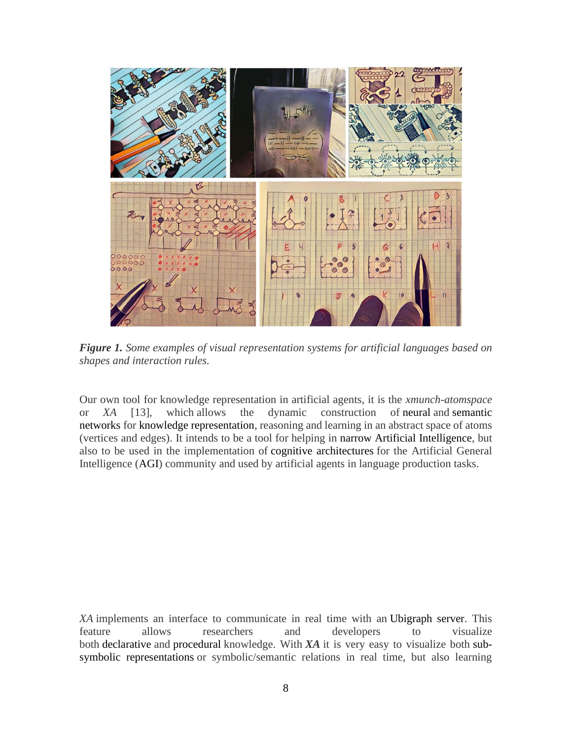

*Figure 1. Some examples of visual representation systems for artificial languages based on shapes and interaction rules.*

Our own tool for knowledge representation in artificial agents, it is the *xmunch-atomspace* or *XA* [13], which allows the dynamic construction of neural and semantic networks for knowledge representation, reasoning and learning in an abstract space of atoms (vertices and edges). It intends to be a tool for helping in narrow Artificial Intelligence, but also to be used in the implementation of cognitive architectures for the Artificial General Intelligence (AGI) community and used by artificial agents in language production tasks.

*XA* implements an interface to communicate in real time with an Ubigraph server. This feature allows researchers and developers to visualize both declarative and procedural knowledge. With *XA* it is very easy to visualize both subsymbolic representations or symbolic/semantic relations in real time, but also learning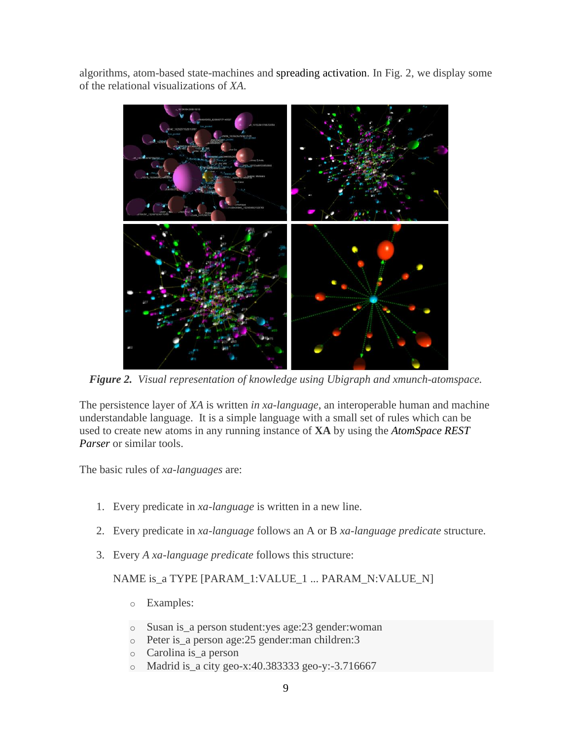algorithms, atom-based state-machines and spreading activation. In Fig. 2, we display some of the relational visualizations of *XA*.



*Figure 2. Visual representation of knowledge using Ubigraph and xmunch-atomspace.*

The persistence layer of *XA* is written *in xa-language*, an interoperable human and machine understandable language. It is a simple language with a small set of rules which can be used to create new atoms in any running instance of **XA** by using the *AtomSpace REST Parser* or similar tools.

The basic rules of *xa-languages* are:

- 1. Every predicate in *xa-language* is written in a new line.
- 2. Every predicate in *xa-language* follows an A or B *xa-language predicate* structure.
- 3. Every *A xa-language predicate* follows this structure:

NAME is\_a TYPE [PARAM\_1:VALUE\_1 ... PARAM\_N:VALUE\_N]

- o Examples:
- o Susan is\_a person student:yes age:23 gender:woman
- o Peter is\_a person age:25 gender:man children:3
- o Carolina is\_a person
- o Madrid is\_a city geo-x:40.383333 geo-y:-3.716667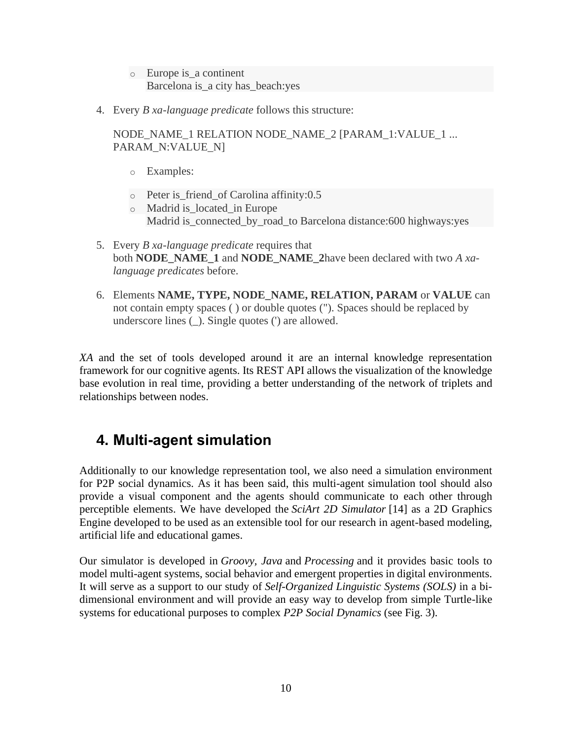- o Europe is\_a continent Barcelona is\_a city has\_beach:yes
- 4. Every *B xa-language predicate* follows this structure:

NODE\_NAME\_1 RELATION NODE\_NAME\_2 [PARAM\_1:VALUE\_1 ... PARAM\_N:VALUE\_N]

- o Examples:
- o Peter is\_friend\_of Carolina affinity:0.5
- o Madrid is\_located\_in Europe Madrid is\_connected\_by\_road\_to Barcelona distance:600 highways:yes
- 5. Every *B xa-language predicate* requires that both **NODE\_NAME\_1** and **NODE\_NAME\_2**have been declared with two *A xalanguage predicates* before.
- 6. Elements **NAME, TYPE, NODE\_NAME, RELATION, PARAM** or **VALUE** can not contain empty spaces ( ) or double quotes ("). Spaces should be replaced by underscore lines (\_). Single quotes (') are allowed.

*XA* and the set of tools developed around it are an internal knowledge representation framework for our cognitive agents. Its REST API allows the visualization of the knowledge base evolution in real time, providing a better understanding of the network of triplets and relationships between nodes.

### **4. Multi-agent simulation**

Additionally to our knowledge representation tool, we also need a simulation environment for P2P social dynamics. As it has been said, this multi-agent simulation tool should also provide a visual component and the agents should communicate to each other through perceptible elements. We have developed the *SciArt 2D Simulator* [14] as a 2D Graphics Engine developed to be used as an extensible tool for our research in agent-based modeling, artificial life and educational games.

Our simulator is developed in *Groovy, Java* and *Processing* and it provides basic tools to model multi-agent systems, social behavior and emergent properties in digital environments. It will serve as a support to our study of *Self-Organized Linguistic Systems (SOLS)* in a bidimensional environment and will provide an easy way to develop from simple Turtle-like systems for educational purposes to complex *P2P Social Dynamics* (see Fig. 3).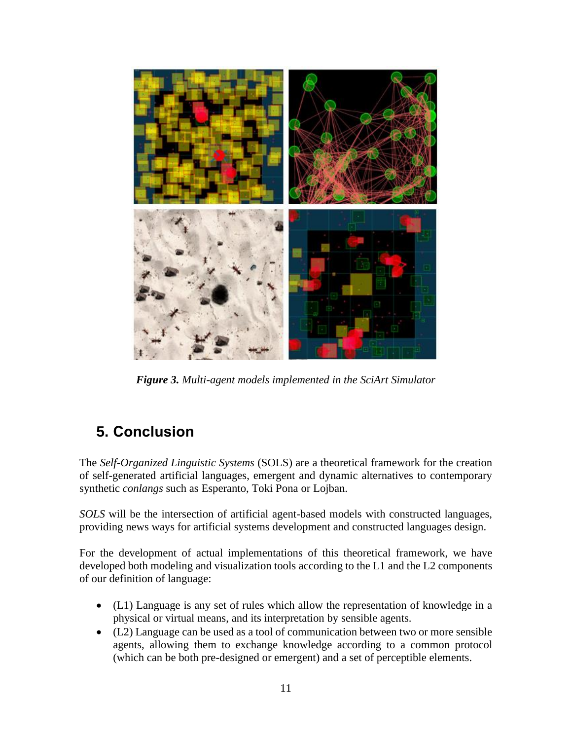

*Figure 3. Multi-agent models implemented in the SciArt Simulator*

## **5. Conclusion**

The *Self-Organized Linguistic Systems* (SOLS) are a theoretical framework for the creation of self-generated artificial languages, emergent and dynamic alternatives to contemporary synthetic *conlangs* such as Esperanto, Toki Pona or Lojban.

*SOLS* will be the intersection of artificial agent-based models with constructed languages, providing news ways for artificial systems development and constructed languages design.

For the development of actual implementations of this theoretical framework, we have developed both modeling and visualization tools according to the L1 and the L2 components of our definition of language:

- (L1) Language is any set of rules which allow the representation of knowledge in a physical or virtual means, and its interpretation by sensible agents.
- (L2) Language can be used as a tool of communication between two or more sensible agents, allowing them to exchange knowledge according to a common protocol (which can be both pre-designed or emergent) and a set of perceptible elements.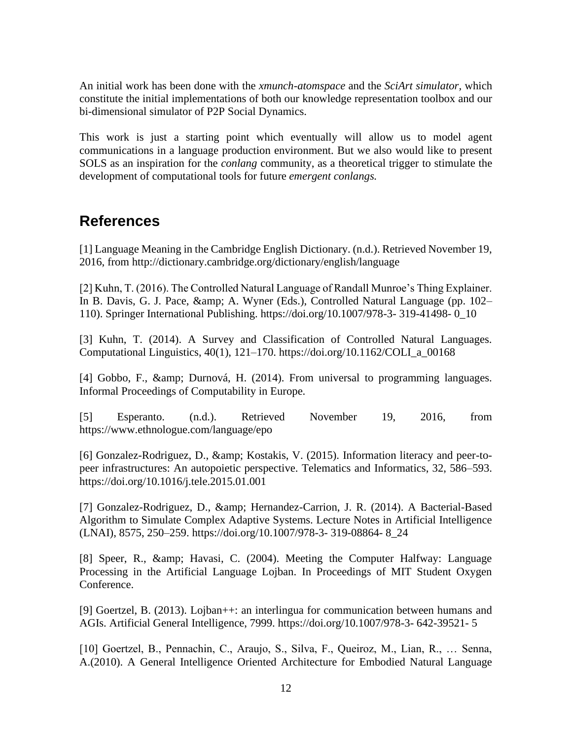An initial work has been done with the *xmunch-atomspace* and the *SciArt simulator,* which constitute the initial implementations of both our knowledge representation toolbox and our bi-dimensional simulator of P2P Social Dynamics.

This work is just a starting point which eventually will allow us to model agent communications in a language production environment. But we also would like to present SOLS as an inspiration for the *conlang* community, as a theoretical trigger to stimulate the development of computational tools for future *emergent conlangs.*

#### **References**

[1] Language Meaning in the Cambridge English Dictionary. (n.d.). Retrieved November 19, 2016, from http://dictionary.cambridge.org/dictionary/english/language

[2] Kuhn, T. (2016). The Controlled Natural Language of Randall Munroe's Thing Explainer. In B. Davis, G. J. Pace, & amp; A. Wyner (Eds.), Controlled Natural Language (pp. 102– 110). Springer International Publishing. https://doi.org/10.1007/978-3- 319-41498- 0\_10

[3] Kuhn, T. (2014). A Survey and Classification of Controlled Natural Languages. Computational Linguistics, 40(1), 121–170. https://doi.org/10.1162/COLI\_a\_00168

[4] Gobbo, F., & amp; Durnová, H. (2014). From universal to programming languages. Informal Proceedings of Computability in Europe.

[5] Esperanto. (n.d.). Retrieved November 19, 2016, from https://www.ethnologue.com/language/epo

[6] Gonzalez-Rodriguez, D., & amp; Kostakis, V. (2015). Information literacy and peer-topeer infrastructures: An autopoietic perspective. Telematics and Informatics, 32, 586–593. https://doi.org/10.1016/j.tele.2015.01.001

[7] Gonzalez-Rodriguez, D., & amp; Hernandez-Carrion, J. R. (2014). A Bacterial-Based Algorithm to Simulate Complex Adaptive Systems. Lecture Notes in Artificial Intelligence (LNAI), 8575, 250–259. https://doi.org/10.1007/978-3- 319-08864- 8\_24

[8] Speer, R., & amp; Havasi, C. (2004). Meeting the Computer Halfway: Language Processing in the Artificial Language Lojban. In Proceedings of MIT Student Oxygen Conference.

[9] Goertzel, B. (2013). Lojban++: an interlingua for communication between humans and AGIs. Artificial General Intelligence, 7999. https://doi.org/10.1007/978-3- 642-39521- 5

[10] Goertzel, B., Pennachin, C., Araujo, S., Silva, F., Queiroz, M., Lian, R., … Senna, A.(2010). A General Intelligence Oriented Architecture for Embodied Natural Language